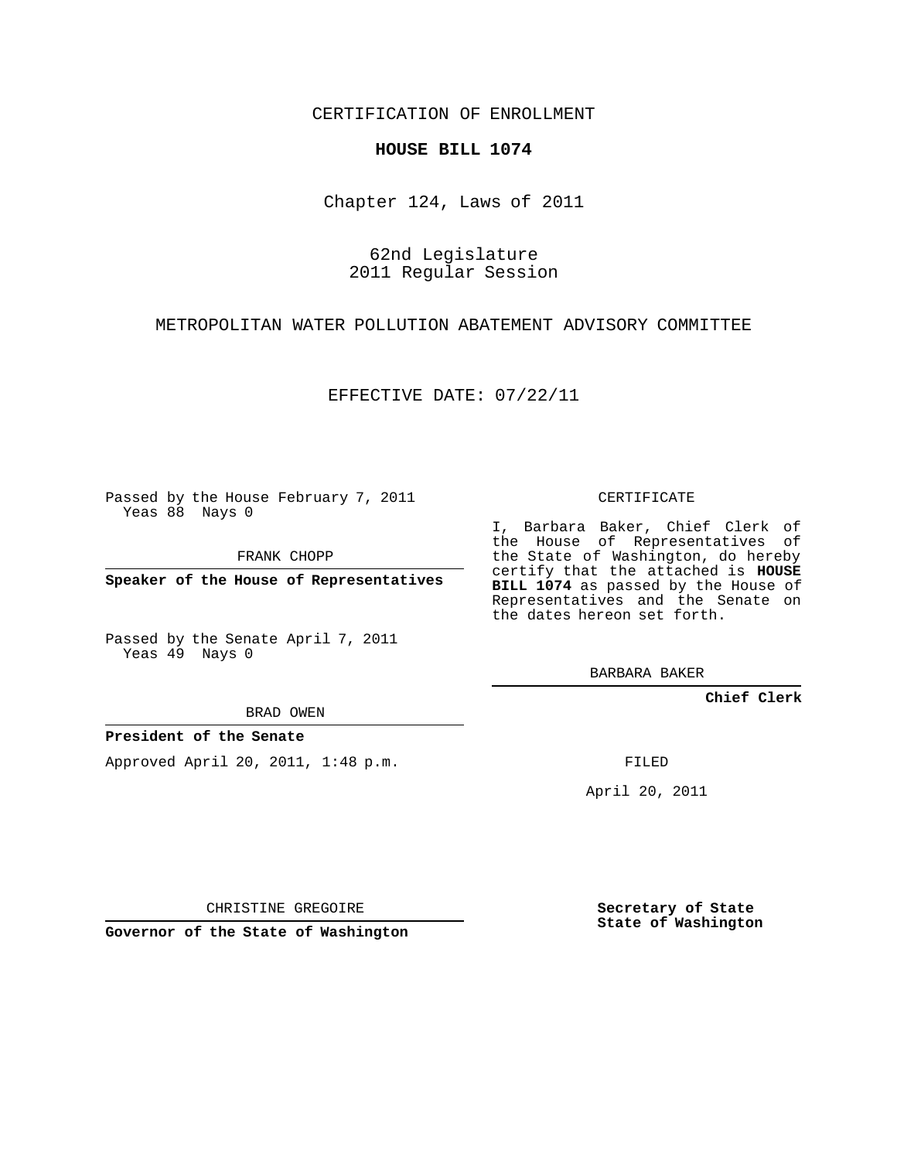CERTIFICATION OF ENROLLMENT

## **HOUSE BILL 1074**

Chapter 124, Laws of 2011

62nd Legislature 2011 Regular Session

METROPOLITAN WATER POLLUTION ABATEMENT ADVISORY COMMITTEE

EFFECTIVE DATE: 07/22/11

Passed by the House February 7, 2011 Yeas 88 Nays 0

FRANK CHOPP

**Speaker of the House of Representatives**

Passed by the Senate April 7, 2011 Yeas 49 Nays 0

BRAD OWEN

## **President of the Senate**

Approved April 20, 2011, 1:48 p.m.

CERTIFICATE

I, Barbara Baker, Chief Clerk of the House of Representatives of the State of Washington, do hereby certify that the attached is **HOUSE BILL 1074** as passed by the House of Representatives and the Senate on the dates hereon set forth.

BARBARA BAKER

**Chief Clerk**

FILED

April 20, 2011

CHRISTINE GREGOIRE

**Governor of the State of Washington**

**Secretary of State State of Washington**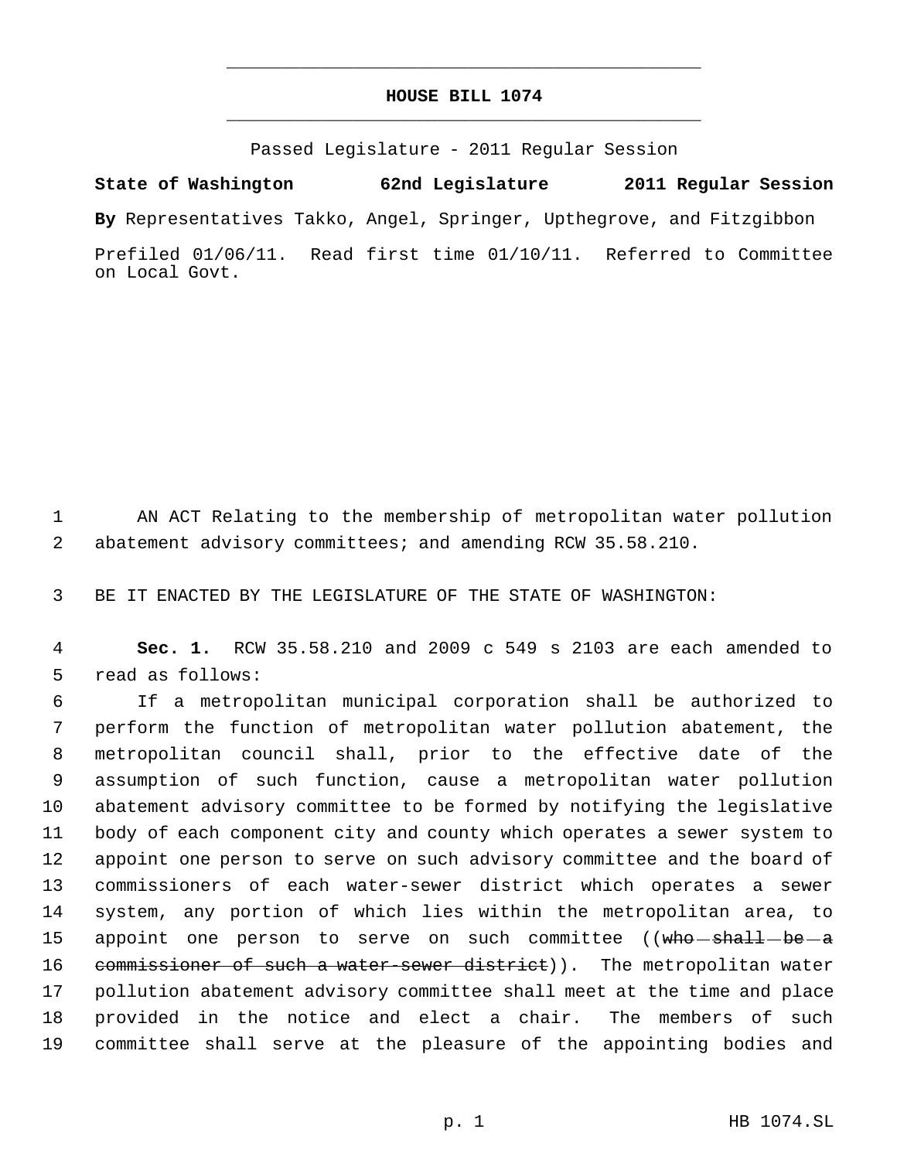## **HOUSE BILL 1074** \_\_\_\_\_\_\_\_\_\_\_\_\_\_\_\_\_\_\_\_\_\_\_\_\_\_\_\_\_\_\_\_\_\_\_\_\_\_\_\_\_\_\_\_\_

\_\_\_\_\_\_\_\_\_\_\_\_\_\_\_\_\_\_\_\_\_\_\_\_\_\_\_\_\_\_\_\_\_\_\_\_\_\_\_\_\_\_\_\_\_

Passed Legislature - 2011 Regular Session

**State of Washington 62nd Legislature 2011 Regular Session**

**By** Representatives Takko, Angel, Springer, Upthegrove, and Fitzgibbon

Prefiled 01/06/11. Read first time 01/10/11. Referred to Committee on Local Govt.

 AN ACT Relating to the membership of metropolitan water pollution abatement advisory committees; and amending RCW 35.58.210.

BE IT ENACTED BY THE LEGISLATURE OF THE STATE OF WASHINGTON:

 **Sec. 1.** RCW 35.58.210 and 2009 c 549 s 2103 are each amended to read as follows:

 If a metropolitan municipal corporation shall be authorized to perform the function of metropolitan water pollution abatement, the metropolitan council shall, prior to the effective date of the assumption of such function, cause a metropolitan water pollution abatement advisory committee to be formed by notifying the legislative body of each component city and county which operates a sewer system to appoint one person to serve on such advisory committee and the board of commissioners of each water-sewer district which operates a sewer system, any portion of which lies within the metropolitan area, to 15 appoint one person to serve on such committee ((who shall be a 16 commissioner of such a water-sewer district)). The metropolitan water pollution abatement advisory committee shall meet at the time and place provided in the notice and elect a chair. The members of such committee shall serve at the pleasure of the appointing bodies and